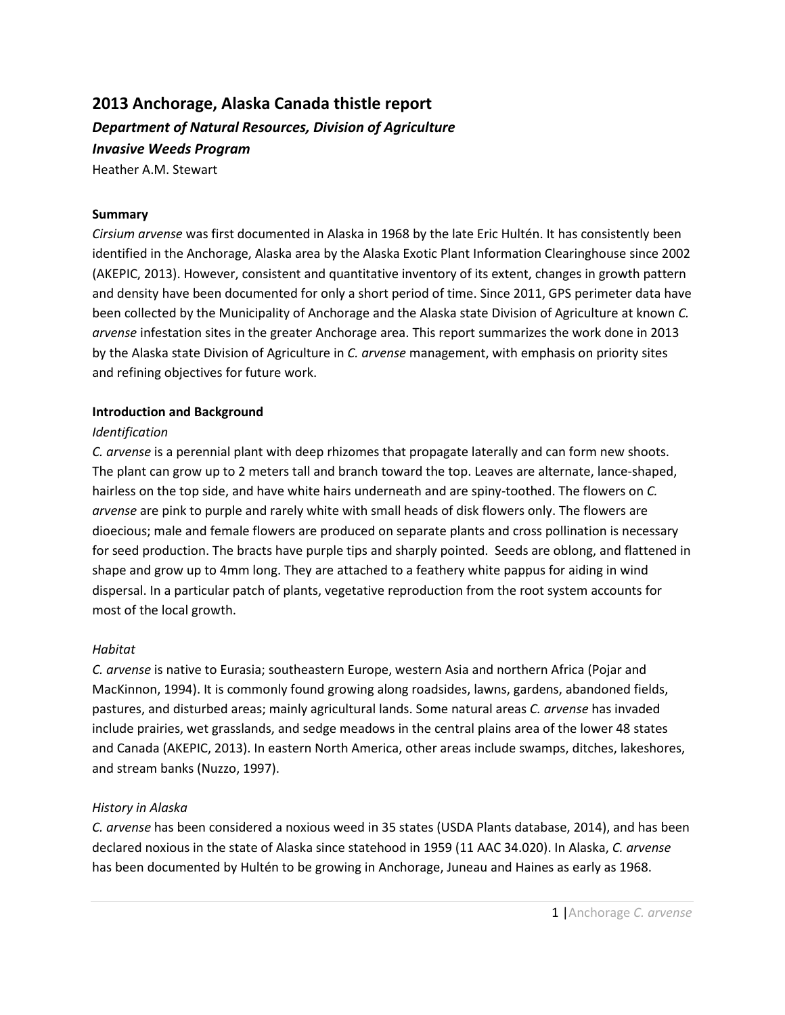# **2013 Anchorage, Alaska Canada thistle report** *Department of Natural Resources, Division of Agriculture Invasive Weeds Program*

Heather A.M. Stewart

## **Summary**

*Cirsium arvense* was first documented in Alaska in 1968 by the late Eric Hultén. It has consistently been identified in the Anchorage, Alaska area by the Alaska Exotic Plant Information Clearinghouse since 2002 (AKEPIC, 2013). However, consistent and quantitative inventory of its extent, changes in growth pattern and density have been documented for only a short period of time. Since 2011, GPS perimeter data have been collected by the Municipality of Anchorage and the Alaska state Division of Agriculture at known *C. arvense* infestation sites in the greater Anchorage area. This report summarizes the work done in 2013 by the Alaska state Division of Agriculture in *C. arvense* management, with emphasis on priority sites and refining objectives for future work.

## **Introduction and Background**

#### *Identification*

*C. arvense* is a perennial plant with deep rhizomes that propagate laterally and can form new shoots. The plant can grow up to 2 meters tall and branch toward the top. Leaves are alternate, lance-shaped, hairless on the top side, and have white hairs underneath and are spiny-toothed. The flowers on *C. arvense* are pink to purple and rarely white with small heads of disk flowers only. The flowers are dioecious; male and female flowers are produced on separate plants and cross pollination is necessary for seed production. The bracts have purple tips and sharply pointed. Seeds are oblong, and flattened in shape and grow up to 4mm long. They are attached to a feathery white pappus for aiding in wind dispersal. In a particular patch of plants, vegetative reproduction from the root system accounts for most of the local growth.

## *Habitat*

*C. arvense* is native to Eurasia; southeastern Europe, western Asia and northern Africa (Pojar and MacKinnon, 1994). It is commonly found growing along roadsides, lawns, gardens, abandoned fields, pastures, and disturbed areas; mainly agricultural lands. Some natural areas *C. arvense* has invaded include prairies, wet grasslands, and sedge meadows in the central plains area of the lower 48 states and Canada (AKEPIC, 2013). In eastern North America, other areas include swamps, ditches, lakeshores, and stream banks (Nuzzo, 1997).

## *History in Alaska*

*C. arvense* has been considered a noxious weed in 35 states (USDA Plants database, 2014), and has been declared noxious in the state of Alaska since statehood in 1959 (11 AAC 34.020). In Alaska, *C. arvense* has been documented by Hultén to be growing in Anchorage, Juneau and Haines as early as 1968.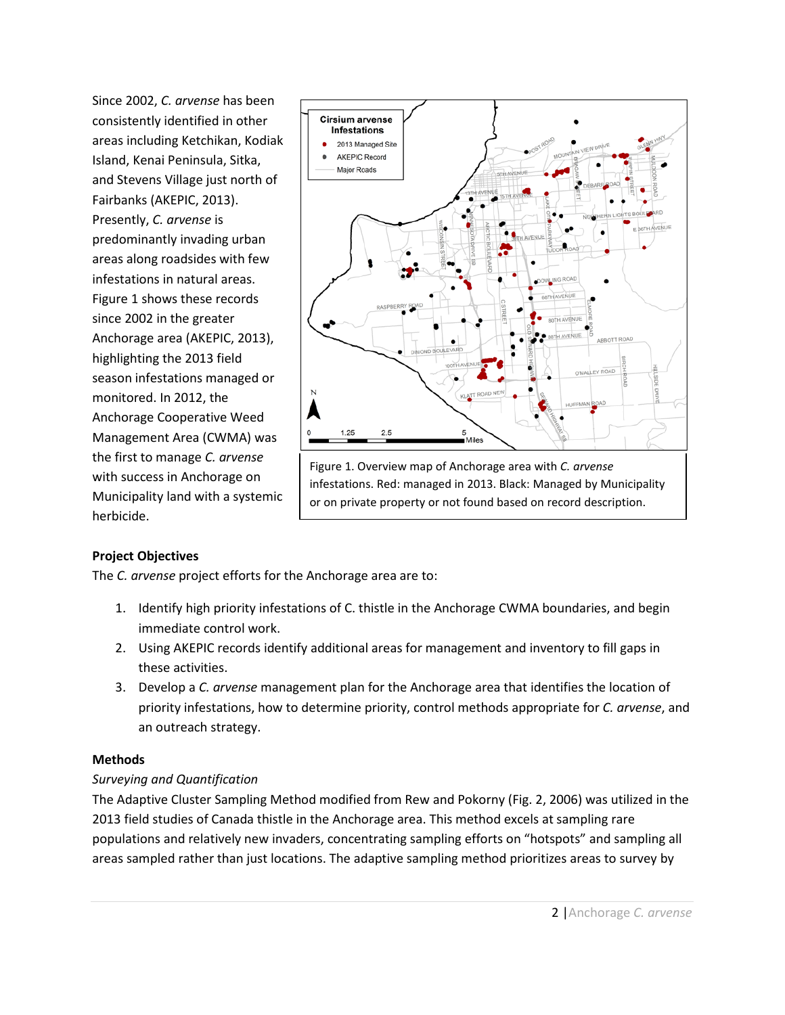Since 2002, *C. arvense* has been consistently identified in other areas including Ketchikan, Kodiak Island, Kenai Peninsula, Sitka, and Stevens Village just north of Fairbanks (AKEPIC, 2013). Presently, *C. arvense* is predominantly invading urban areas along roadsides with few infestations in natural areas. Figure 1 shows these records since 2002 in the greater Anchorage area (AKEPIC, 2013), highlighting the 2013 field season infestations managed or monitored. In 2012, the Anchorage Cooperative Weed Management Area (CWMA) was the first to manage *C. arvense*  with success in Anchorage on Municipality land with a systemic herbicide.



or on private property or not found based on record description.

# **Project Objectives**

The *C. arvense* project efforts for the Anchorage area are to:

- 1. Identify high priority infestations of C. thistle in the Anchorage CWMA boundaries, and begin immediate control work.
- 2. Using AKEPIC records identify additional areas for management and inventory to fill gaps in these activities.
- 3. Develop a *C. arvense* management plan for the Anchorage area that identifies the location of priority infestations, how to determine priority, control methods appropriate for *C. arvense*, and an outreach strategy.

# **Methods**

# *Surveying and Quantification*

The Adaptive Cluster Sampling Method modified from Rew and Pokorny (Fig. 2, 2006) was utilized in the 2013 field studies of Canada thistle in the Anchorage area. This method excels at sampling rare populations and relatively new invaders, concentrating sampling efforts on "hotspots" and sampling all areas sampled rather than just locations. The adaptive sampling method prioritizes areas to survey by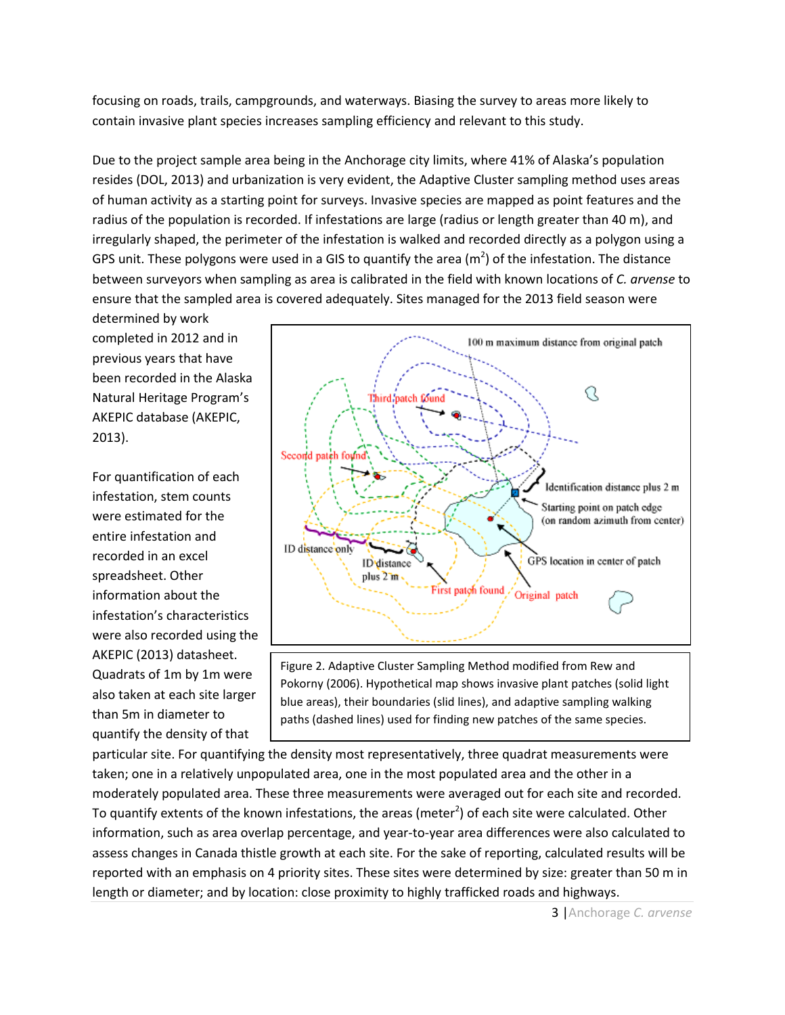focusing on roads, trails, campgrounds, and waterways. Biasing the survey to areas more likely to contain invasive plant species increases sampling efficiency and relevant to this study.

Due to the project sample area being in the Anchorage city limits, where 41% of Alaska's population resides (DOL, 2013) and urbanization is very evident, the Adaptive Cluster sampling method uses areas of human activity as a starting point for surveys. Invasive species are mapped as point features and the radius of the population is recorded. If infestations are large (radius or length greater than 40 m), and irregularly shaped, the perimeter of the infestation is walked and recorded directly as a polygon using a GPS unit. These polygons were used in a GIS to quantify the area (m<sup>2</sup>) of the infestation. The distance between surveyors when sampling as area is calibrated in the field with known locations of *C. arvense* to ensure that the sampled area is covered adequately. Sites managed for the 2013 field season were

determined by work completed in 2012 and in previous years that have been recorded in the Alaska Natural Heritage Program's AKEPIC database (AKEPIC, 2013).

For quantification of each infestation, stem counts were estimated for the entire infestation and recorded in an excel spreadsheet. Other information about the infestation's characteristics were also recorded using the AKEPIC (2013) datasheet. Quadrats of 1m by 1m were also taken at each site larger than 5m in diameter to quantify the density of that



Figure 2. Adaptive Cluster Sampling Method modified from Rew and Pokorny (2006). Hypothetical map shows invasive plant patches (solid light blue areas), their boundaries (slid lines), and adaptive sampling walking paths (dashed lines) used for finding new patches of the same species.

particular site. For quantifying the density most representatively, three quadrat measurements were taken; one in a relatively unpopulated area, one in the most populated area and the other in a moderately populated area. These three measurements were averaged out for each site and recorded. To quantify extents of the known infestations, the areas (meter<sup>2</sup>) of each site were calculated. Other information, such as area overlap percentage, and year-to-year area differences were also calculated to assess changes in Canada thistle growth at each site. For the sake of reporting, calculated results will be reported with an emphasis on 4 priority sites. These sites were determined by size: greater than 50 m in length or diameter; and by location: close proximity to highly trafficked roads and highways.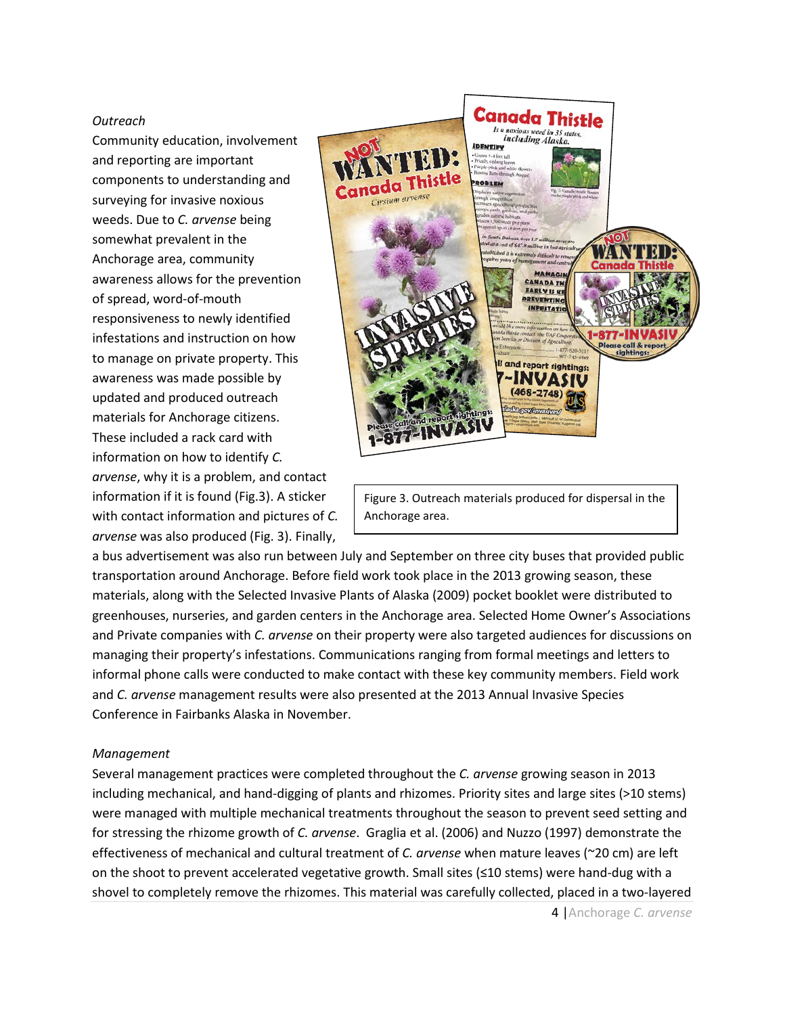### *Outreach*

Community education, involvement and reporting are important components to understanding and surveying for invasive noxious weeds. Due to *C. arvense* being somewhat prevalent in the Anchorage area, community awareness allows for the prevention of spread, word-of-mouth responsiveness to newly identified infestations and instruction on how to manage on private property. This awareness was made possible by updated and produced outreach materials for Anchorage citizens. These included a rack card with information on how to identify *C. arvense*, why it is a problem, and contact information if it is found (Fig.3). A sticker with contact information and pictures of *C. arvense* was also produced (Fig. 3). Finally,



Figure 3. Outreach materials produced for dispersal in the Anchorage area.

a bus advertisement was also run between July and September on three city buses that provided public transportation around Anchorage. Before field work took place in the 2013 growing season, these materials, along with the Selected Invasive Plants of Alaska (2009) pocket booklet were distributed to greenhouses, nurseries, and garden centers in the Anchorage area. Selected Home Owner's Associations and Private companies with *C. arvense* on their property were also targeted audiences for discussions on managing their property's infestations. Communications ranging from formal meetings and letters to informal phone calls were conducted to make contact with these key community members. Field work and *C. arvense* management results were also presented at the 2013 Annual Invasive Species Conference in Fairbanks Alaska in November.

#### *Management*

Several management practices were completed throughout the *C. arvense* growing season in 2013 including mechanical, and hand-digging of plants and rhizomes. Priority sites and large sites (>10 stems) were managed with multiple mechanical treatments throughout the season to prevent seed setting and for stressing the rhizome growth of *C. arvense*. Graglia et al. (2006) and Nuzzo (1997) demonstrate the effectiveness of mechanical and cultural treatment of *C. arvense* when mature leaves (~20 cm) are left on the shoot to prevent accelerated vegetative growth. Small sites (≤10 stems) were hand-dug with a shovel to completely remove the rhizomes. This material was carefully collected, placed in a two-layered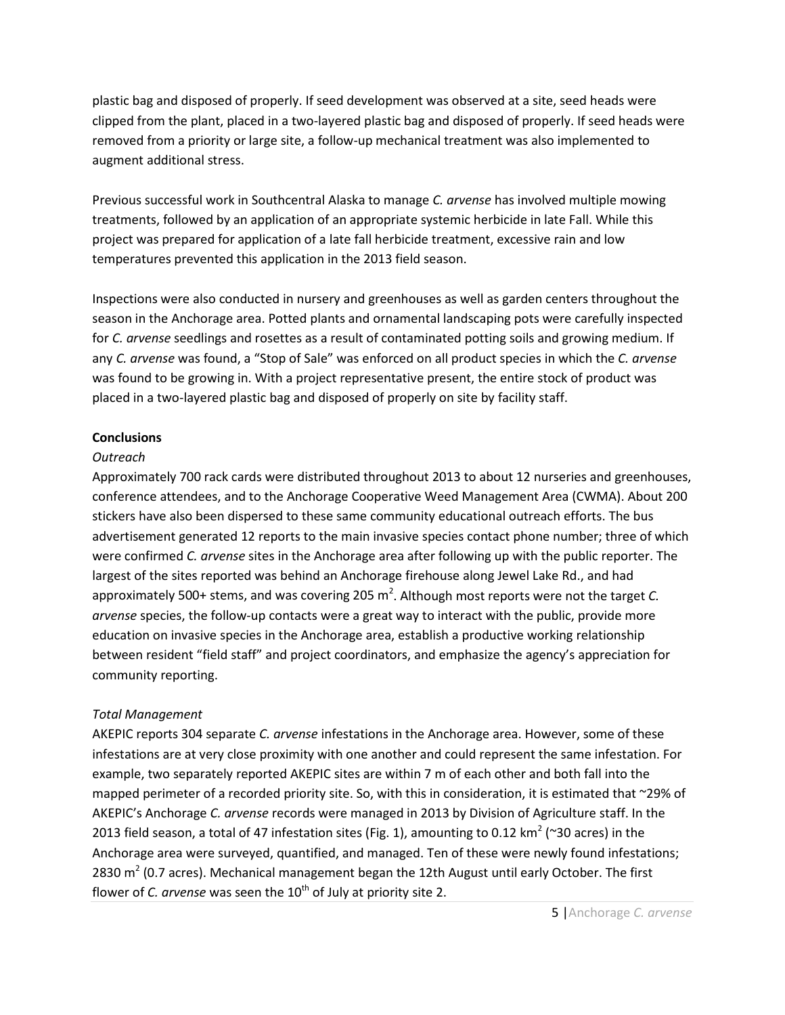plastic bag and disposed of properly. If seed development was observed at a site, seed heads were clipped from the plant, placed in a two-layered plastic bag and disposed of properly. If seed heads were removed from a priority or large site, a follow-up mechanical treatment was also implemented to augment additional stress.

Previous successful work in Southcentral Alaska to manage *C. arvense* has involved multiple mowing treatments, followed by an application of an appropriate systemic herbicide in late Fall. While this project was prepared for application of a late fall herbicide treatment, excessive rain and low temperatures prevented this application in the 2013 field season.

Inspections were also conducted in nursery and greenhouses as well as garden centers throughout the season in the Anchorage area. Potted plants and ornamental landscaping pots were carefully inspected for *C. arvense* seedlings and rosettes as a result of contaminated potting soils and growing medium. If any *C. arvense* was found, a "Stop of Sale" was enforced on all product species in which the *C. arvense* was found to be growing in. With a project representative present, the entire stock of product was placed in a two-layered plastic bag and disposed of properly on site by facility staff.

# **Conclusions**

# *Outreach*

Approximately 700 rack cards were distributed throughout 2013 to about 12 nurseries and greenhouses, conference attendees, and to the Anchorage Cooperative Weed Management Area (CWMA). About 200 stickers have also been dispersed to these same community educational outreach efforts. The bus advertisement generated 12 reports to the main invasive species contact phone number; three of which were confirmed *C. arvense* sites in the Anchorage area after following up with the public reporter. The largest of the sites reported was behind an Anchorage firehouse along Jewel Lake Rd., and had approximately 500+ stems, and was covering 205 m<sup>2</sup>. Although most reports were not the target *C*. *arvense* species, the follow-up contacts were a great way to interact with the public, provide more education on invasive species in the Anchorage area, establish a productive working relationship between resident "field staff" and project coordinators, and emphasize the agency's appreciation for community reporting.

# *Total Management*

AKEPIC reports 304 separate *C. arvense* infestations in the Anchorage area. However, some of these infestations are at very close proximity with one another and could represent the same infestation. For example, two separately reported AKEPIC sites are within 7 m of each other and both fall into the mapped perimeter of a recorded priority site. So, with this in consideration, it is estimated that ~29% of AKEPIC's Anchorage *C. arvense* records were managed in 2013 by Division of Agriculture staff. In the 2013 field season, a total of 47 infestation sites (Fig. 1), amounting to 0.12 km<sup>2</sup> (~30 acres) in the Anchorage area were surveyed, quantified, and managed. Ten of these were newly found infestations; 2830  $m^2$  (0.7 acres). Mechanical management began the 12th August until early October. The first flower of *C. arvense* was seen the 10<sup>th</sup> of July at priority site 2.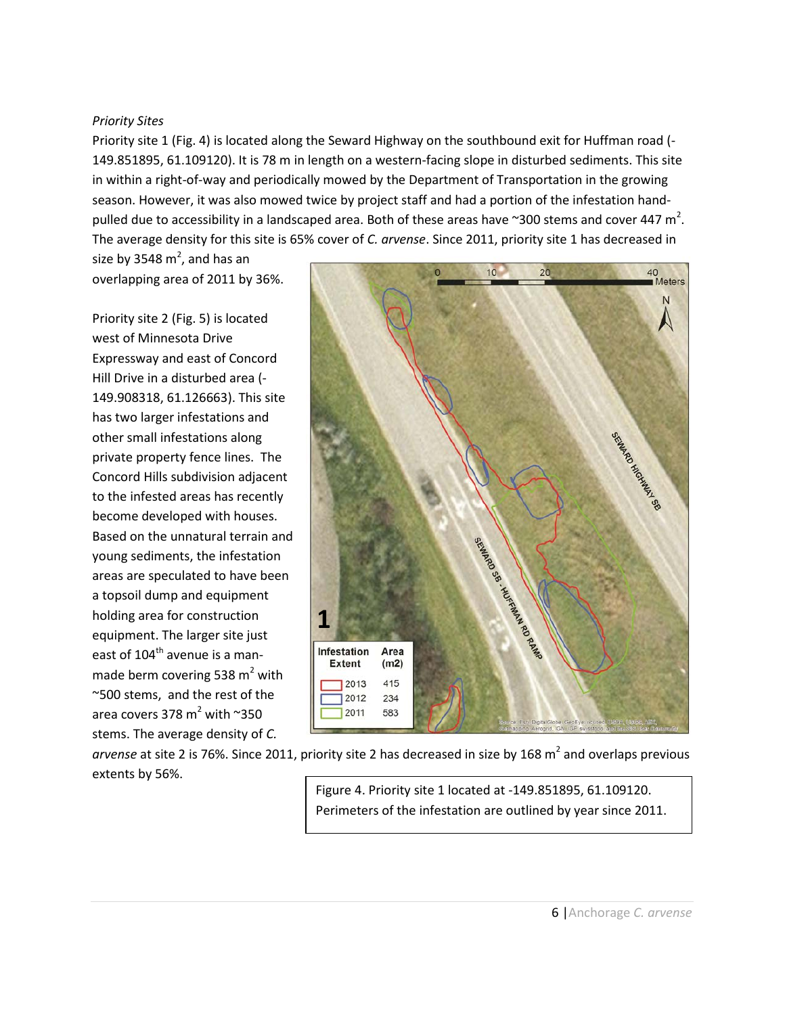#### *Priority Sites*

Priority site 1 (Fig. 4) is located along the Seward Highway on the southbound exit for Huffman road (- 149.851895, 61.109120). It is 78 m in length on a western-facing slope in disturbed sediments. This site in within a right-of-way and periodically mowed by the Department of Transportation in the growing season. However, it was also mowed twice by project staff and had a portion of the infestation handpulled due to accessibility in a landscaped area. Both of these areas have ~300 stems and cover 447 m<sup>2</sup>. The average density for this site is 65% cover of *C. arvense*. Since 2011, priority site 1 has decreased in

size by 3548  $m^2$ , and has an overlapping area of 2011 by 36%.

Priority site 2 (Fig. 5) is located west of Minnesota Drive Expressway and east of Concord Hill Drive in a disturbed area (- 149.908318, 61.126663). This site has two larger infestations and other small infestations along private property fence lines. The Concord Hills subdivision adjacent to the infested areas has recently become developed with houses. Based on the unnatural terrain and young sediments, the infestation areas are speculated to have been a topsoil dump and equipment holding area for construction equipment. The larger site just east of  $104<sup>th</sup>$  avenue is a manmade berm covering 538  $m<sup>2</sup>$  with ~500 stems, and the rest of the area covers 378  $m^2$  with ~350 stems. The average density of *C.* 



arvense at site 2 is 76%. Since 2011, priority site 2 has decreased in size by 168 m<sup>2</sup> and overlaps previous extents by 56%.

Figure 4. Priority site 1 located at -149.851895, 61.109120. Perimeters of the infestation are outlined by year since 2011.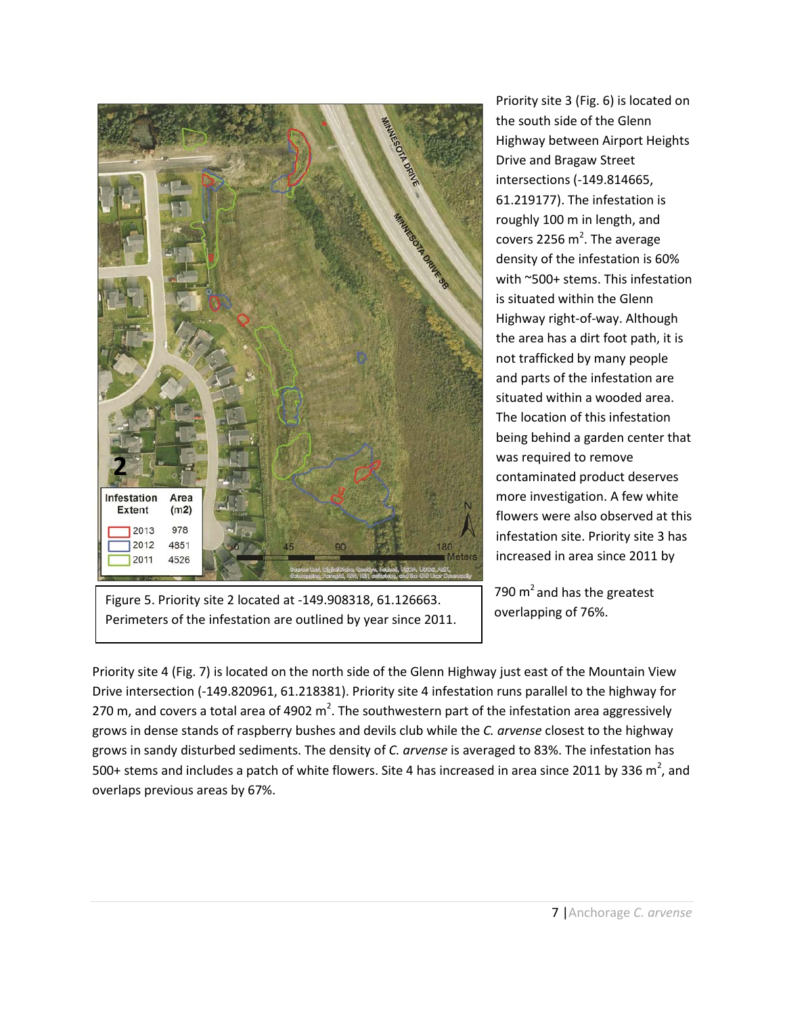

Figure 5. Priority site 2 located at -149.908318, 61.126663. Perimeters of the infestation are outlined by year since 2011.

Priority site 3 (Fig. 6) is located on the south side of the Glenn Highway between Airport Heights Drive and Bragaw Street intersections (-149.814665, 61.219177). The infestation is roughly 100 m in length, and covers 2256  $m^2$ . The average density of the infestation is 60% with ~500+ stems. This infestation is situated within the Glenn Highway right-of-way. Although the area has a dirt foot path, it is not trafficked by many people and parts of the infestation are situated within a wooded area. The location of this infestation being behind a garden center that was required to remove contaminated product deserves more investigation. A few white flowers were also observed at this infestation site. Priority site 3 has increased in area since 2011 by

790  $m<sup>2</sup>$  and has the greatest overlapping of 76%.

Priority site 4 (Fig. 7) is located on the north side of the Glenn Highway just east of the Mountain View Drive intersection (-149.820961, 61.218381). Priority site 4 infestation runs parallel to the highway for 270 m, and covers a total area of 4902 m<sup>2</sup>. The southwestern part of the infestation area aggressively grows in dense stands of raspberry bushes and devils club while the *C. arvense* closest to the highway grows in sandy disturbed sediments. The density of *C. arvense* is averaged to 83%. The infestation has 500+ stems and includes a patch of white flowers. Site 4 has increased in area since 2011 by 336 m<sup>2</sup>, and overlaps previous areas by 67%.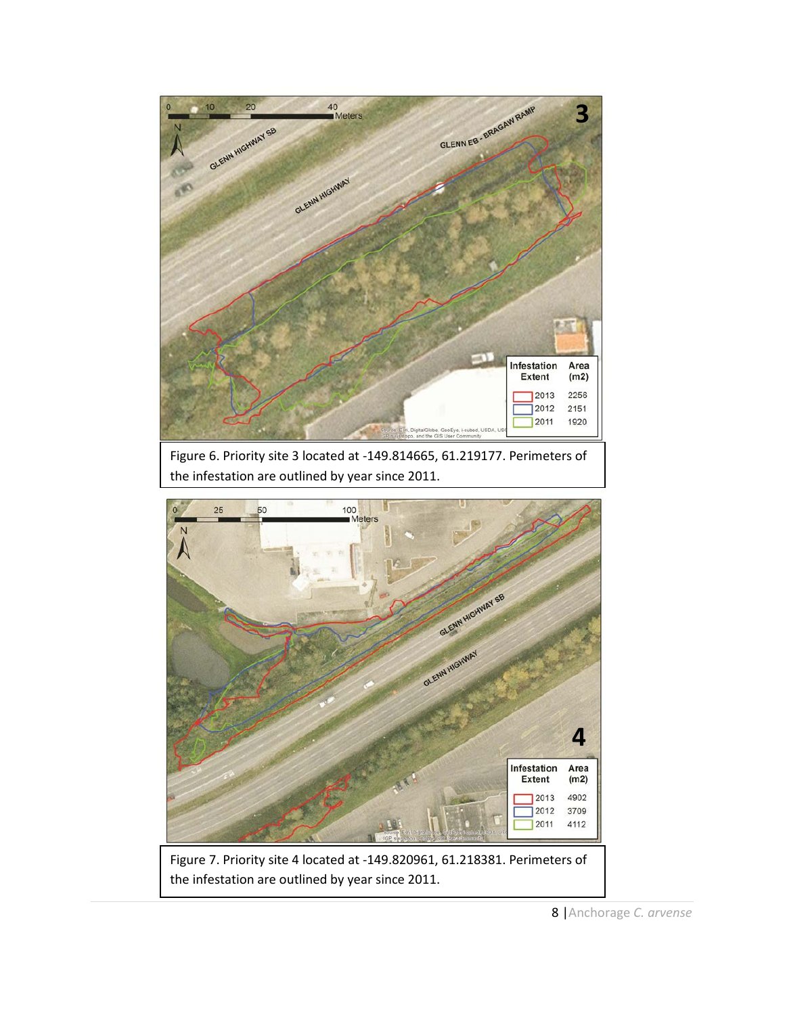

**Extent**  $(m2)$ 4902 2013 2012 3709 2011 4112

Figure 7. Priority site 4 located at -149.820961, 61.218381. Perimeters of the infestation are outlined by year since 2011.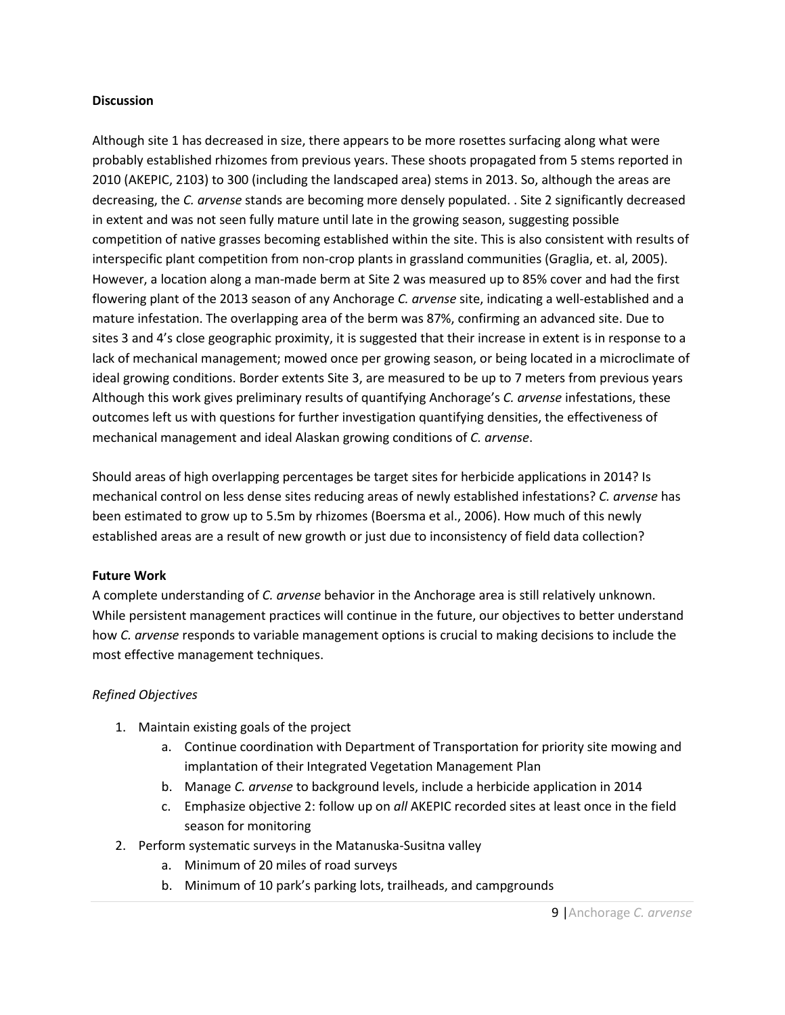## **Discussion**

Although site 1 has decreased in size, there appears to be more rosettes surfacing along what were probably established rhizomes from previous years. These shoots propagated from 5 stems reported in 2010 (AKEPIC, 2103) to 300 (including the landscaped area) stems in 2013. So, although the areas are decreasing, the *C. arvense* stands are becoming more densely populated. . Site 2 significantly decreased in extent and was not seen fully mature until late in the growing season, suggesting possible competition of native grasses becoming established within the site. This is also consistent with results of interspecific plant competition from non-crop plants in grassland communities (Graglia, et. al, 2005). However, a location along a man-made berm at Site 2 was measured up to 85% cover and had the first flowering plant of the 2013 season of any Anchorage *C. arvense* site, indicating a well-established and a mature infestation. The overlapping area of the berm was 87%, confirming an advanced site. Due to sites 3 and 4's close geographic proximity, it is suggested that their increase in extent is in response to a lack of mechanical management; mowed once per growing season, or being located in a microclimate of ideal growing conditions. Border extents Site 3, are measured to be up to 7 meters from previous years Although this work gives preliminary results of quantifying Anchorage's *C. arvense* infestations, these outcomes left us with questions for further investigation quantifying densities, the effectiveness of mechanical management and ideal Alaskan growing conditions of *C. arvense*.

Should areas of high overlapping percentages be target sites for herbicide applications in 2014? Is mechanical control on less dense sites reducing areas of newly established infestations? *C. arvense* has been estimated to grow up to 5.5m by rhizomes (Boersma et al., 2006). How much of this newly established areas are a result of new growth or just due to inconsistency of field data collection?

## **Future Work**

A complete understanding of *C. arvense* behavior in the Anchorage area is still relatively unknown. While persistent management practices will continue in the future, our objectives to better understand how *C. arvense* responds to variable management options is crucial to making decisions to include the most effective management techniques.

# *Refined Objectives*

- 1. Maintain existing goals of the project
	- a. Continue coordination with Department of Transportation for priority site mowing and implantation of their Integrated Vegetation Management Plan
	- b. Manage *C. arvense* to background levels, include a herbicide application in 2014
	- c. Emphasize objective 2: follow up on *all* AKEPIC recorded sites at least once in the field season for monitoring
- 2. Perform systematic surveys in the Matanuska-Susitna valley
	- a. Minimum of 20 miles of road surveys
	- b. Minimum of 10 park's parking lots, trailheads, and campgrounds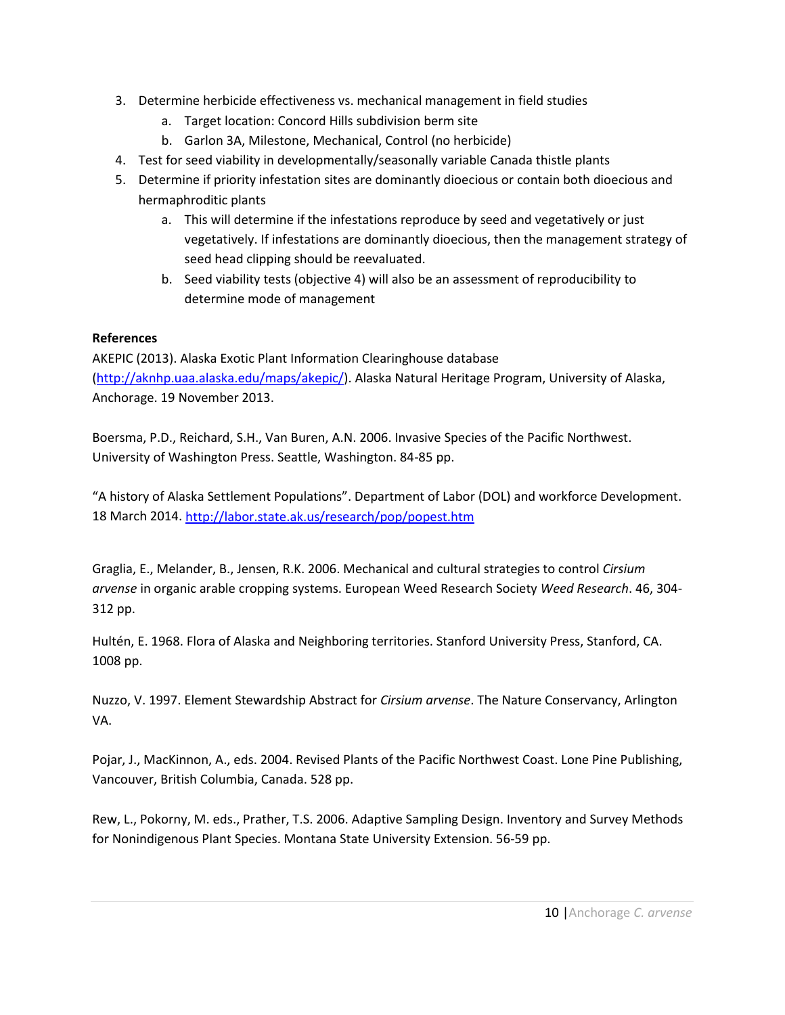- 3. Determine herbicide effectiveness vs. mechanical management in field studies
	- a. Target location: Concord Hills subdivision berm site
	- b. Garlon 3A, Milestone, Mechanical, Control (no herbicide)
- 4. Test for seed viability in developmentally/seasonally variable Canada thistle plants
- 5. Determine if priority infestation sites are dominantly dioecious or contain both dioecious and hermaphroditic plants
	- a. This will determine if the infestations reproduce by seed and vegetatively or just vegetatively. If infestations are dominantly dioecious, then the management strategy of seed head clipping should be reevaluated.
	- b. Seed viability tests (objective 4) will also be an assessment of reproducibility to determine mode of management

# **References**

AKEPIC (2013). Alaska Exotic Plant Information Clearinghouse database [\(http://aknhp.uaa.alaska.edu/maps/akepic/\)](http://aknhp.uaa.alaska.edu/maps/akepic/). Alaska Natural Heritage Program, University of Alaska, Anchorage. 19 November 2013.

Boersma, P.D., Reichard, S.H., Van Buren, A.N. 2006. Invasive Species of the Pacific Northwest. University of Washington Press. Seattle, Washington. 84-85 pp.

"A history of Alaska Settlement Populations". Department of Labor (DOL) and workforce Development. 18 March 2014[. http://labor.state.ak.us/research/pop/popest.htm](http://labor.state.ak.us/research/pop/popest.htm)

Graglia, E., Melander, B., Jensen, R.K. 2006. Mechanical and cultural strategies to control *Cirsium arvense* in organic arable cropping systems. European Weed Research Society *Weed Research*. 46, 304- 312 pp.

Hultén, E. 1968. Flora of Alaska and Neighboring territories. Stanford University Press, Stanford, CA. 1008 pp.

Nuzzo, V. 1997. Element Stewardship Abstract for *Cirsium arvense*. The Nature Conservancy, Arlington VA.

Pojar, J., MacKinnon, A., eds. 2004. Revised Plants of the Pacific Northwest Coast. Lone Pine Publishing, Vancouver, British Columbia, Canada. 528 pp.

Rew, L., Pokorny, M. eds., Prather, T.S. 2006. Adaptive Sampling Design. Inventory and Survey Methods for Nonindigenous Plant Species. Montana State University Extension. 56-59 pp.